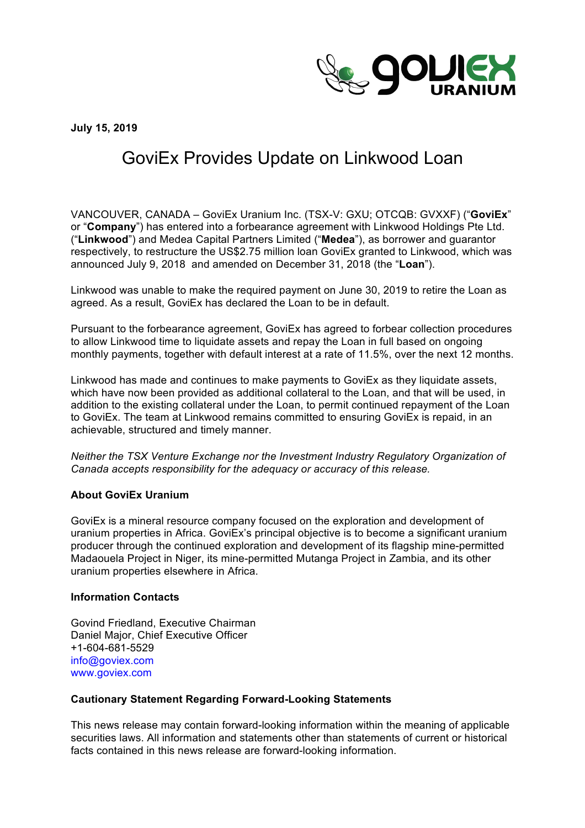

**July 15, 2019**

## GoviEx Provides Update on Linkwood Loan

VANCOUVER, CANADA – GoviEx Uranium Inc. (TSX-V: GXU; OTCQB: GVXXF) ("**GoviEx**" or "**Company**") has entered into a forbearance agreement with Linkwood Holdings Pte Ltd. ("**Linkwood**") and Medea Capital Partners Limited ("**Medea**"), as borrower and guarantor respectively, to restructure the US\$2.75 million loan GoviEx granted to Linkwood, which was announced July 9, 2018 and amended on December 31, 2018 (the "**Loan**").

Linkwood was unable to make the required payment on June 30, 2019 to retire the Loan as agreed. As a result, GoviEx has declared the Loan to be in default.

Pursuant to the forbearance agreement, GoviEx has agreed to forbear collection procedures to allow Linkwood time to liquidate assets and repay the Loan in full based on ongoing monthly payments, together with default interest at a rate of 11.5%, over the next 12 months.

Linkwood has made and continues to make payments to GoviEx as they liquidate assets, which have now been provided as additional collateral to the Loan, and that will be used, in addition to the existing collateral under the Loan, to permit continued repayment of the Loan to GoviEx. The team at Linkwood remains committed to ensuring GoviEx is repaid, in an achievable, structured and timely manner.

*Neither the TSX Venture Exchange nor the Investment Industry Regulatory Organization of Canada accepts responsibility for the adequacy or accuracy of this release.* 

## **About GoviEx Uranium**

GoviEx is a mineral resource company focused on the exploration and development of uranium properties in Africa. GoviEx's principal objective is to become a significant uranium producer through the continued exploration and development of its flagship mine-permitted Madaouela Project in Niger, its mine-permitted Mutanga Project in Zambia, and its other uranium properties elsewhere in Africa.

## **Information Contacts**

Govind Friedland, Executive Chairman Daniel Major, Chief Executive Officer +1-604-681-5529 info@goviex.com www.goviex.com

## **Cautionary Statement Regarding Forward-Looking Statements**

This news release may contain forward-looking information within the meaning of applicable securities laws. All information and statements other than statements of current or historical facts contained in this news release are forward-looking information.